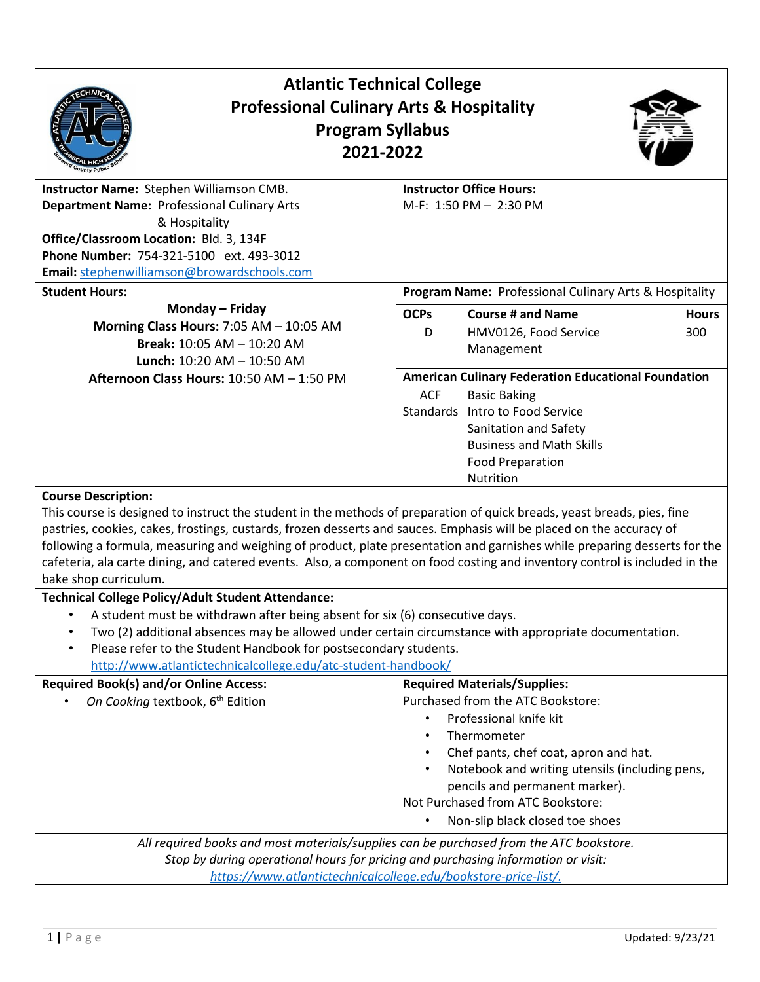| <b>Atlantic Technical College</b><br><b>Professional Culinary Arts &amp; Hospitality</b><br><b>Program Syllabus</b><br>2021-2022                                                                                                                                                                                                                                                                                                                                                                                                                                                                                                                                                                                                                                                                                                                                                                                                                               |                                                        |                                                                                                                                                                                                                                                                                                                        |              |  |
|----------------------------------------------------------------------------------------------------------------------------------------------------------------------------------------------------------------------------------------------------------------------------------------------------------------------------------------------------------------------------------------------------------------------------------------------------------------------------------------------------------------------------------------------------------------------------------------------------------------------------------------------------------------------------------------------------------------------------------------------------------------------------------------------------------------------------------------------------------------------------------------------------------------------------------------------------------------|--------------------------------------------------------|------------------------------------------------------------------------------------------------------------------------------------------------------------------------------------------------------------------------------------------------------------------------------------------------------------------------|--------------|--|
| Instructor Name: Stephen Williamson CMB.<br><b>Department Name: Professional Culinary Arts</b><br>& Hospitality<br>Office/Classroom Location: Bld. 3, 134F<br>Phone Number: 754-321-5100 ext. 493-3012<br>Email: stephenwilliamson@browardschools.com                                                                                                                                                                                                                                                                                                                                                                                                                                                                                                                                                                                                                                                                                                          |                                                        | <b>Instructor Office Hours:</b><br>M-F: 1:50 PM - 2:30 PM                                                                                                                                                                                                                                                              |              |  |
| <b>Student Hours:</b>                                                                                                                                                                                                                                                                                                                                                                                                                                                                                                                                                                                                                                                                                                                                                                                                                                                                                                                                          | Program Name: Professional Culinary Arts & Hospitality |                                                                                                                                                                                                                                                                                                                        |              |  |
| Monday - Friday                                                                                                                                                                                                                                                                                                                                                                                                                                                                                                                                                                                                                                                                                                                                                                                                                                                                                                                                                | <b>OCPs</b>                                            | <b>Course # and Name</b>                                                                                                                                                                                                                                                                                               | <b>Hours</b> |  |
| Morning Class Hours: 7:05 AM - 10:05 AM<br>Break: 10:05 AM - 10:20 AM<br><b>Lunch:</b> $10:20$ AM $- 10:50$ AM                                                                                                                                                                                                                                                                                                                                                                                                                                                                                                                                                                                                                                                                                                                                                                                                                                                 | D                                                      | HMV0126, Food Service<br>Management                                                                                                                                                                                                                                                                                    | 300          |  |
| Afternoon Class Hours: 10:50 AM - 1:50 PM                                                                                                                                                                                                                                                                                                                                                                                                                                                                                                                                                                                                                                                                                                                                                                                                                                                                                                                      |                                                        | <b>American Culinary Federation Educational Foundation</b>                                                                                                                                                                                                                                                             |              |  |
|                                                                                                                                                                                                                                                                                                                                                                                                                                                                                                                                                                                                                                                                                                                                                                                                                                                                                                                                                                | <b>ACF</b><br>Standards                                | <b>Basic Baking</b><br>Intro to Food Service<br>Sanitation and Safety<br><b>Business and Math Skills</b><br><b>Food Preparation</b><br>Nutrition                                                                                                                                                                       |              |  |
| <b>Course Description:</b><br>This course is designed to instruct the student in the methods of preparation of quick breads, yeast breads, pies, fine<br>pastries, cookies, cakes, frostings, custards, frozen desserts and sauces. Emphasis will be placed on the accuracy of<br>following a formula, measuring and weighing of product, plate presentation and garnishes while preparing desserts for the<br>cafeteria, ala carte dining, and catered events. Also, a component on food costing and inventory control is included in the<br>bake shop curriculum.<br><b>Technical College Policy/Adult Student Attendance:</b><br>A student must be withdrawn after being absent for six (6) consecutive days.<br>Two (2) additional absences may be allowed under certain circumstance with appropriate documentation.<br>Please refer to the Student Handbook for postsecondary students.<br>http://www.atlantictechnicalcollege.edu/atc-student-handbook/ |                                                        |                                                                                                                                                                                                                                                                                                                        |              |  |
| <b>Required Book(s) and/or Online Access:</b><br>On Cooking textbook, 6 <sup>th</sup> Edition<br>All required books and most materials/supplies can be purchased from the ATC bookstore.                                                                                                                                                                                                                                                                                                                                                                                                                                                                                                                                                                                                                                                                                                                                                                       | $\bullet$<br>$\bullet$                                 | <b>Required Materials/Supplies:</b><br>Purchased from the ATC Bookstore:<br>Professional knife kit<br>Thermometer<br>Chef pants, chef coat, apron and hat.<br>Notebook and writing utensils (including pens,<br>pencils and permanent marker).<br>Not Purchased from ATC Bookstore:<br>Non-slip black closed toe shoes |              |  |
| Stop by during operational hours for pricing and purchasing information or visit:<br>https://www.atlantictechnicalcollege.edu/bookstore-price-list/.                                                                                                                                                                                                                                                                                                                                                                                                                                                                                                                                                                                                                                                                                                                                                                                                           |                                                        |                                                                                                                                                                                                                                                                                                                        |              |  |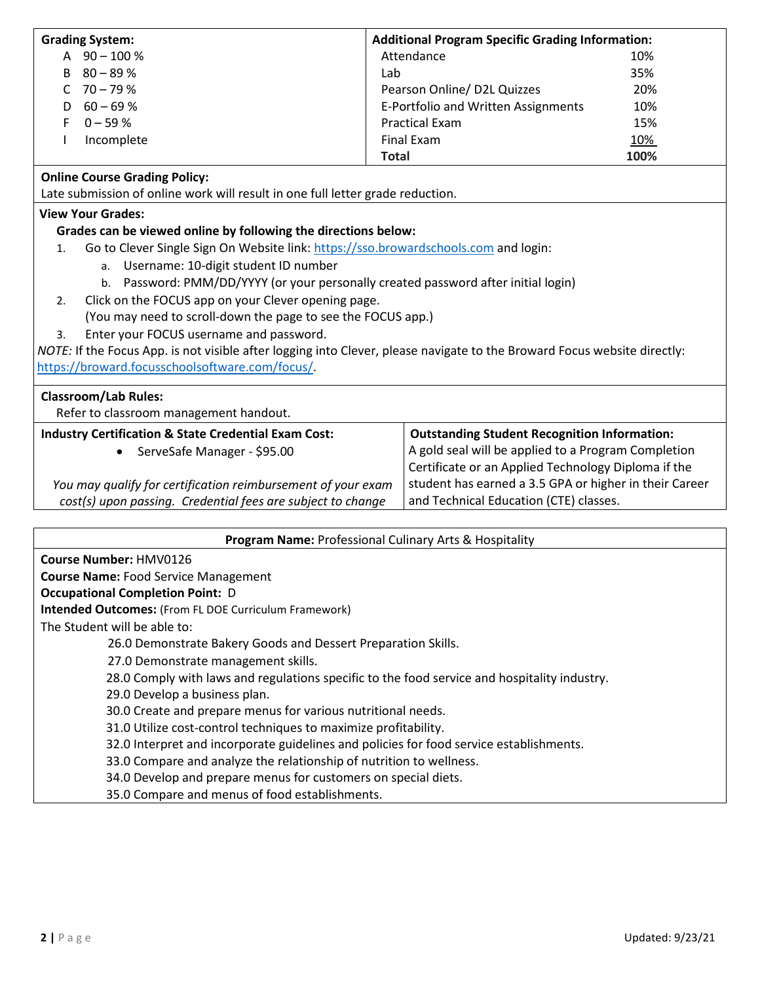| <b>Grading System:</b>                                                                                                   | <b>Additional Program Specific Grading Information:</b>                                                                |      |  |  |  |
|--------------------------------------------------------------------------------------------------------------------------|------------------------------------------------------------------------------------------------------------------------|------|--|--|--|
| A $90 - 100 %$                                                                                                           | Attendance<br>10%                                                                                                      |      |  |  |  |
| $80 - 89%$<br>B                                                                                                          | Lab                                                                                                                    | 35%  |  |  |  |
| $70 - 79%$<br>C                                                                                                          | Pearson Online/ D2L Quizzes                                                                                            | 20%  |  |  |  |
| $60 - 69%$<br>D                                                                                                          | E-Portfolio and Written Assignments                                                                                    | 10%  |  |  |  |
| $0 - 59%$<br>F                                                                                                           | <b>Practical Exam</b>                                                                                                  | 15%  |  |  |  |
| Incomplete                                                                                                               | <b>Final Exam</b>                                                                                                      | 10%  |  |  |  |
|                                                                                                                          | <b>Total</b>                                                                                                           | 100% |  |  |  |
| <b>Online Course Grading Policy:</b>                                                                                     |                                                                                                                        |      |  |  |  |
| Late submission of online work will result in one full letter grade reduction.                                           |                                                                                                                        |      |  |  |  |
| <b>View Your Grades:</b>                                                                                                 |                                                                                                                        |      |  |  |  |
| Grades can be viewed online by following the directions below:                                                           |                                                                                                                        |      |  |  |  |
| Go to Clever Single Sign On Website link: https://sso.browardschools.com and login:<br>1.                                |                                                                                                                        |      |  |  |  |
| Username: 10-digit student ID number<br>a.                                                                               |                                                                                                                        |      |  |  |  |
| b. Password: PMM/DD/YYYY (or your personally created password after initial login)                                       |                                                                                                                        |      |  |  |  |
| Click on the FOCUS app on your Clever opening page.<br>2.                                                                |                                                                                                                        |      |  |  |  |
| (You may need to scroll-down the page to see the FOCUS app.)                                                             |                                                                                                                        |      |  |  |  |
| Enter your FOCUS username and password.<br>3.                                                                            |                                                                                                                        |      |  |  |  |
| NOTE: If the Focus App. is not visible after logging into Clever, please navigate to the Broward Focus website directly: |                                                                                                                        |      |  |  |  |
| https://broward.focusschoolsoftware.com/focus/                                                                           |                                                                                                                        |      |  |  |  |
|                                                                                                                          |                                                                                                                        |      |  |  |  |
| <b>Classroom/Lab Rules:</b>                                                                                              |                                                                                                                        |      |  |  |  |
| Refer to classroom management handout.                                                                                   |                                                                                                                        |      |  |  |  |
| <b>Industry Certification &amp; State Credential Exam Cost:</b>                                                          | <b>Outstanding Student Recognition Information:</b>                                                                    |      |  |  |  |
| ServeSafe Manager - \$95.00                                                                                              | A gold seal will be applied to a Program Completion                                                                    |      |  |  |  |
|                                                                                                                          | Certificate or an Applied Technology Diploma if the                                                                    |      |  |  |  |
|                                                                                                                          | student has earned a 3.5 GPA or higher in their Career<br>You may qualify for certification reimbursement of your exam |      |  |  |  |
| cost(s) upon passing. Credential fees are subject to change                                                              | and Technical Education (CTE) classes.                                                                                 |      |  |  |  |
|                                                                                                                          |                                                                                                                        |      |  |  |  |
| <b>Program Name: Professional Culinary Arts &amp; Hospitality</b>                                                        |                                                                                                                        |      |  |  |  |

|  |  | <b>Course Number: HMV0126</b> |
|--|--|-------------------------------|
|--|--|-------------------------------|

**Course Name:** Food Service Management

#### **Occupational Completion Point:** D

**Intended Outcomes:** (From FL DOE Curriculum Framework)

The Student will be able to:

26.0 Demonstrate Bakery Goods and Dessert Preparation Skills.

27.0 Demonstrate management skills.

28.0 Comply with laws and regulations specific to the food service and hospitality industry.

29.0 Develop a business plan.

30.0 Create and prepare menus for various nutritional needs.

31.0 Utilize cost-control techniques to maximize profitability.

32.0 Interpret and incorporate guidelines and policies for food service establishments.

33.0 Compare and analyze the relationship of nutrition to wellness.

34.0 Develop and prepare menus for customers on special diets.

35.0 Compare and menus of food establishments.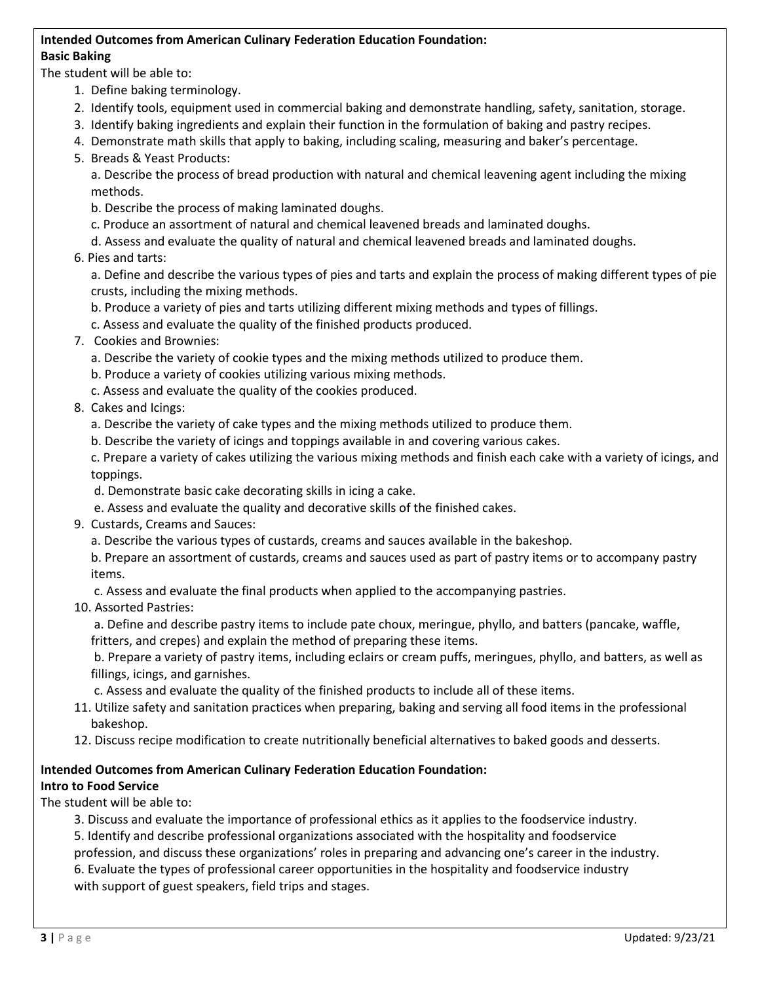### **Intended Outcomes from American Culinary Federation Education Foundation: Basic Baking**

The student will be able to:

- 1. Define baking terminology.
- 2. Identify tools, equipment used in commercial baking and demonstrate handling, safety, sanitation, storage.
- 3. Identify baking ingredients and explain their function in the formulation of baking and pastry recipes.
- 4. Demonstrate math skills that apply to baking, including scaling, measuring and baker's percentage.
- 5. Breads & Yeast Products:

a. Describe the process of bread production with natural and chemical leavening agent including the mixing methods.

- b. Describe the process of making laminated doughs.
- c. Produce an assortment of natural and chemical leavened breads and laminated doughs.
- d. Assess and evaluate the quality of natural and chemical leavened breads and laminated doughs.
- 6. Pies and tarts:

a. Define and describe the various types of pies and tarts and explain the process of making different types of pie crusts, including the mixing methods.

- b. Produce a variety of pies and tarts utilizing different mixing methods and types of fillings.
- c. Assess and evaluate the quality of the finished products produced.
- 7. Cookies and Brownies:
	- a. Describe the variety of cookie types and the mixing methods utilized to produce them.
	- b. Produce a variety of cookies utilizing various mixing methods.
	- c. Assess and evaluate the quality of the cookies produced.
- 8. Cakes and Icings:
	- a. Describe the variety of cake types and the mixing methods utilized to produce them.
	- b. Describe the variety of icings and toppings available in and covering various cakes.

c. Prepare a variety of cakes utilizing the various mixing methods and finish each cake with a variety of icings, and toppings.

- d. Demonstrate basic cake decorating skills in icing a cake.
- e. Assess and evaluate the quality and decorative skills of the finished cakes.
- 9. Custards, Creams and Sauces:
	- a. Describe the various types of custards, creams and sauces available in the bakeshop.
	- b. Prepare an assortment of custards, creams and sauces used as part of pastry items or to accompany pastry items.

c. Assess and evaluate the final products when applied to the accompanying pastries.

10. Assorted Pastries:

a. Define and describe pastry items to include pate choux, meringue, phyllo, and batters (pancake, waffle, fritters, and crepes) and explain the method of preparing these items.

b. Prepare a variety of pastry items, including eclairs or cream puffs, meringues, phyllo, and batters, as well as fillings, icings, and garnishes.

c. Assess and evaluate the quality of the finished products to include all of these items.

- 11. Utilize safety and sanitation practices when preparing, baking and serving all food items in the professional bakeshop.
- 12. Discuss recipe modification to create nutritionally beneficial alternatives to baked goods and desserts.

# **Intended Outcomes from American Culinary Federation Education Foundation:**

## **Intro to Food Service**

The student will be able to:

3. Discuss and evaluate the importance of professional ethics as it applies to the foodservice industry. 5. Identify and describe professional organizations associated with the hospitality and foodservice profession, and discuss these organizations' roles in preparing and advancing one's career in the industry. 6. Evaluate the types of professional career opportunities in the hospitality and foodservice industry with support of guest speakers, field trips and stages.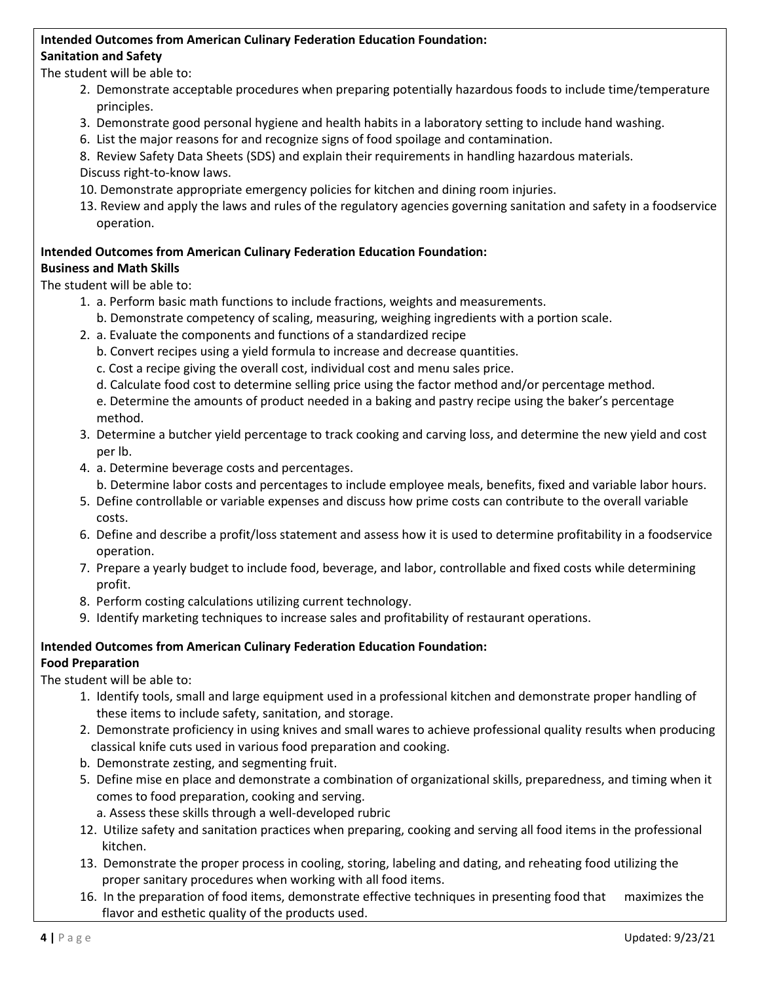#### **Intended Outcomes from American Culinary Federation Education Foundation: Sanitation and Safety**

The student will be able to:

- 2. Demonstrate acceptable procedures when preparing potentially hazardous foods to include time/temperature principles.
- 3. Demonstrate good personal hygiene and health habits in a laboratory setting to include hand washing.
- 6. List the major reasons for and recognize signs of food spoilage and contamination.
- 8. Review Safety Data Sheets (SDS) and explain their requirements in handling hazardous materials. Discuss right-to-know laws.
- 10. Demonstrate appropriate emergency policies for kitchen and dining room injuries.
- 13. Review and apply the laws and rules of the regulatory agencies governing sanitation and safety in a foodservice operation.

#### **Intended Outcomes from American Culinary Federation Education Foundation: Business and Math Skills**

The student will be able to:

- 1. a. Perform basic math functions to include fractions, weights and measurements.
	- b. Demonstrate competency of scaling, measuring, weighing ingredients with a portion scale.
- 2. a. Evaluate the components and functions of a standardized recipe
	- b. Convert recipes using a yield formula to increase and decrease quantities.
	- c. Cost a recipe giving the overall cost, individual cost and menu sales price.
	- d. Calculate food cost to determine selling price using the factor method and/or percentage method.

e. Determine the amounts of product needed in a baking and pastry recipe using the baker's percentage method.

- 3. Determine a butcher yield percentage to track cooking and carving loss, and determine the new yield and cost per lb.
- 4. a. Determine beverage costs and percentages.
	- b. Determine labor costs and percentages to include employee meals, benefits, fixed and variable labor hours.
- 5. Define controllable or variable expenses and discuss how prime costs can contribute to the overall variable costs.
- 6. Define and describe a profit/loss statement and assess how it is used to determine profitability in a foodservice operation.
- 7. Prepare a yearly budget to include food, beverage, and labor, controllable and fixed costs while determining profit.
- 8. Perform costing calculations utilizing current technology.
- 9. Identify marketing techniques to increase sales and profitability of restaurant operations.

# **Intended Outcomes from American Culinary Federation Education Foundation:**

## **Food Preparation**

The student will be able to:

- 1. Identify tools, small and large equipment used in a professional kitchen and demonstrate proper handling of these items to include safety, sanitation, and storage.
- 2. Demonstrate proficiency in using knives and small wares to achieve professional quality results when producing classical knife cuts used in various food preparation and cooking.
- b. Demonstrate zesting, and segmenting fruit.
- 5. Define mise en place and demonstrate a combination of organizational skills, preparedness, and timing when it comes to food preparation, cooking and serving.
	- a. Assess these skills through a well-developed rubric
- 12. Utilize safety and sanitation practices when preparing, cooking and serving all food items in the professional kitchen.
- 13. Demonstrate the proper process in cooling, storing, labeling and dating, and reheating food utilizing the proper sanitary procedures when working with all food items.
- 16. In the preparation of food items, demonstrate effective techniques in presenting food that maximizes the flavor and esthetic quality of the products used.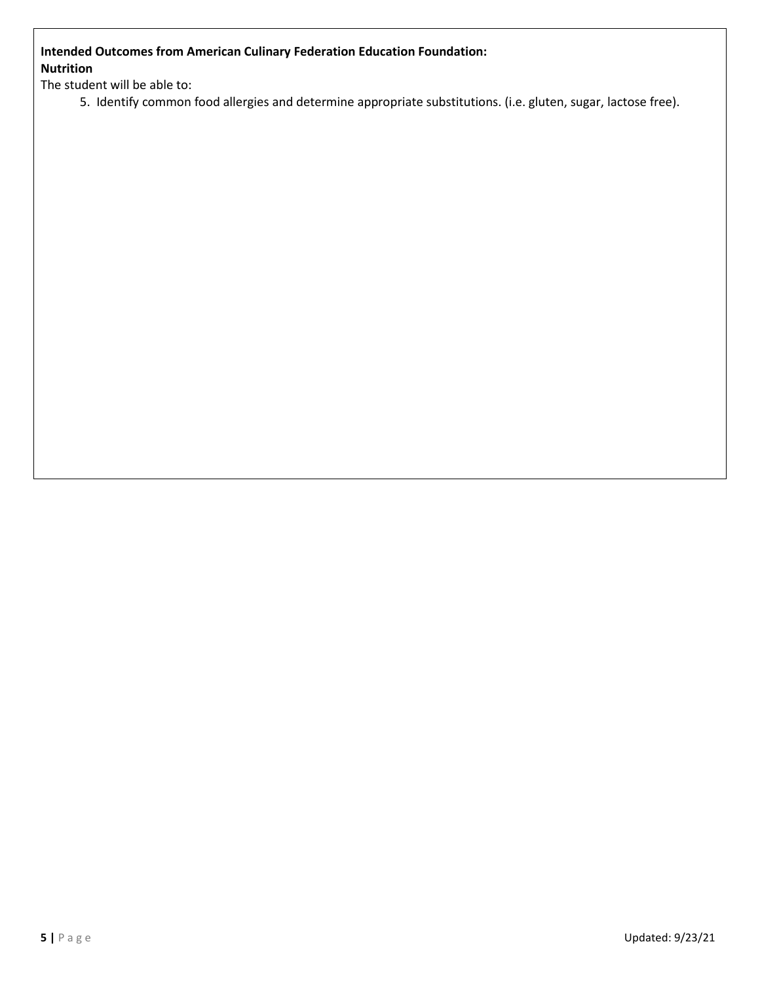## **Intended Outcomes from American Culinary Federation Education Foundation: Nutrition**

The student will be able to:

5. Identify common food allergies and determine appropriate substitutions. (i.e. gluten, sugar, lactose free).